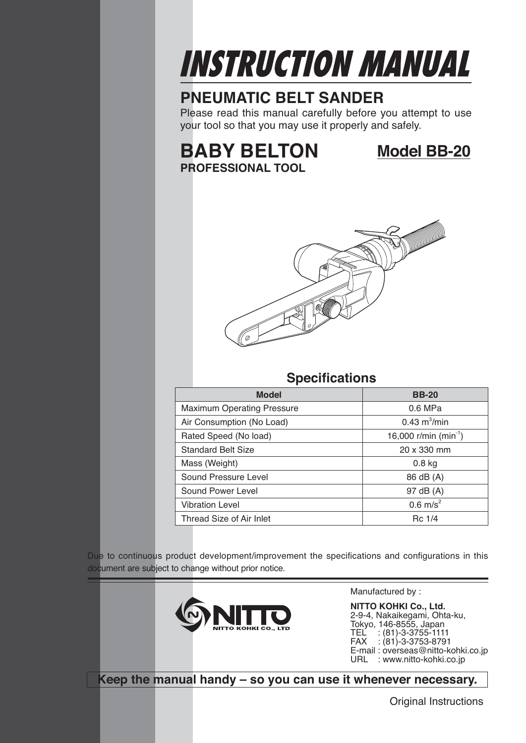

# **PNEUMATIC BELT SANDER**

Please read this manual carefully before you attempt to use your tool so that you may use it properly and safely.

# **BABY BELTON Model BB-20 PROFESSIONAL TOOL**



# **Specifications**

| <b>Model</b>                      | <b>BB-20</b>                      |
|-----------------------------------|-----------------------------------|
| <b>Maximum Operating Pressure</b> | $0.6$ MPa                         |
| Air Consumption (No Load)         | $0.43 \text{ m}^3/\text{min}$     |
| Rated Speed (No load)             | 16,000 r/min (min <sup>-1</sup> ) |
| <b>Standard Belt Size</b>         | 20 x 330 mm                       |
| Mass (Weight)                     | $0.8$ kg                          |
| Sound Pressure Level              | 86 dB (A)                         |
| Sound Power Level                 | 97 dB (A)                         |
| <b>Vibration Level</b>            | $0.6$ m/s <sup>2</sup>            |
| Thread Size of Air Inlet          | Rc 1/4                            |

Due to continuous product development/improvement the specifications and configurations in this document are subject to change without prior notice.



Manufactured by :

**NITTO KOHKI Co., Ltd.** 2-9-4, Nakaikegami, Ohta-ku, Tokyo, 146-8555, Japan TEL : (81)-3-3755-1111  $FAX : (81)-3-3753-8791$ E-mail : overseas@nitto-kohki.co.jp URL : www.nitto-kohki.co.jp

**Keep the manual handy – so you can use it whenever necessary.**

Original Instructions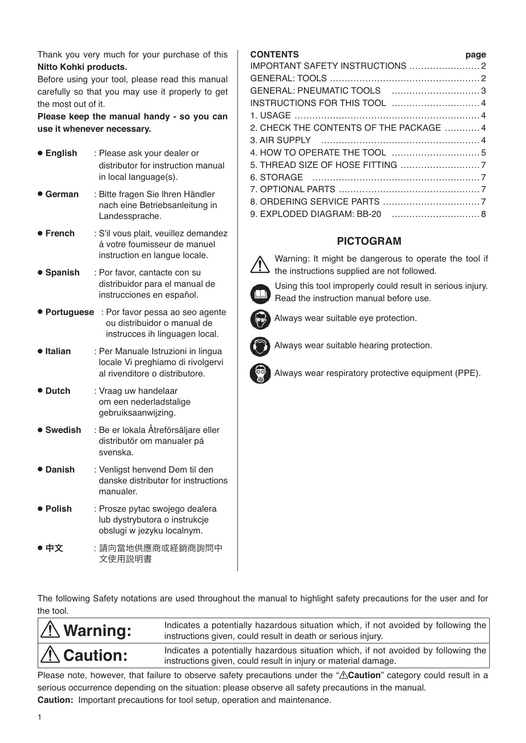Thank you very much for your purchase of this **Nitto Kohki products.** 

Before using your tool, please read this manual carefully so that you may use it properly to get the most out of it.

**Please keep the manual handy - so you can use it whenever necessary.**

| <b>• English</b> | : Please ask your dealer or<br>distributor for instruction manual<br>in local language(s).                |
|------------------|-----------------------------------------------------------------------------------------------------------|
| $\bullet$ German | : Bitte fragen Sie Ihren Händler<br>nach eine Betriebsanleitung in<br>Landessprache.                      |
| • French         | : S'il vous plait, veuillez demandez<br>á votre foumisseur de manuel<br>instruction en langue locale.     |
| • Spanish        | : Por favor, cantacte con su<br>distribuidor para el manual de<br>instrucciones en español.               |
| ● Portuguese     | : Por favor pessa ao seo agente<br>ou distribuidor o manual de<br>instrucces ih linguagen local.          |
| · Italian        | : Per Manuale Istruzioni in lingua<br>locale Vi preghiamo di rivolgervi<br>al rivenditore o distributore. |
| ● Dutch          | : Vraag uw handelaar<br>om een nederladstalige<br>gebruiksaanwijzing.                                     |
| <b>Swedish</b>   | : Be er lokala Åtreförsäljare eller<br>distributör om manualer pá<br>svenska.                             |
| • Danish         | : Venligst henvend Dem til den<br>danske distributør for instructions<br>manualer.                        |
| ● Polish         | : Prosze pytac swojego dealera<br>lub dystrybutora o instrukcje<br>obslugi w jezyku localnym.             |
| ● 中文             | :請向當地供應商或経銷商詢問中<br>文使用説明書                                                                                 |

## **CONTENTS page**

| GENERAL: PNEUMATIC TOOLS 3              |  |
|-----------------------------------------|--|
|                                         |  |
|                                         |  |
| 2. CHECK THE CONTENTS OF THE PACKAGE  4 |  |
|                                         |  |
|                                         |  |
|                                         |  |
|                                         |  |
|                                         |  |
|                                         |  |
| 9. EXPLODED DIAGRAM: BB-20  8           |  |
|                                         |  |

# **PICTOGRAM**



 Warning: It might be dangerous to operate the tool if  $\sum$  the instructions supplied are not followed.



 Using this tool improperly could result in serious injury. Read the instruction manual before use.



Always wear suitable eye protection.



Always wear suitable hearing protection.

Always wear respiratory protective equipment (PPE).

The following Safety notations are used throughout the manual to highlight safety precautions for the user and for the tool.

| $\Lambda$ Warning: | Indicates a potentially hazardous situation which, if not avoided by following the<br>instructions given, could result in death or serious injury.   |
|--------------------|------------------------------------------------------------------------------------------------------------------------------------------------------|
| $\Lambda$ Caution: | Indicates a potentially hazardous situation which, if not avoided by following the<br>instructions given, could result in injury or material damage. |
|                    |                                                                                                                                                      |

Please note, however, that failure to observe safety precautions under the " $\triangle$ Caution" category could result in a serious occurrence depending on the situation: please observe all safety precautions in the manual. **Caution:** Important precautions for tool setup, operation and maintenance.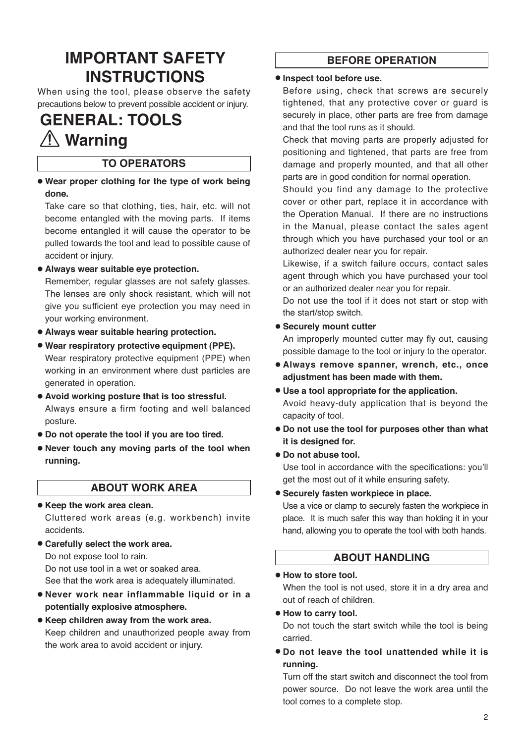# **IMPORTANT SAFETY INSTRUCTIONS**

When using the tool, please observe the safety precautions below to prevent possible accident or injury.

# **GENERAL: TOOLS Warning**

# **TO OPERATORS**

● **Wear proper clothing for the type of work being done.**

Take care so that clothing, ties, hair, etc. will not become entangled with the moving parts. If items become entangled it will cause the operator to be pulled towards the tool and lead to possible cause of accident or injury.

● **Always wear suitable eye protection.** 

Remember, regular glasses are not safety glasses. The lenses are only shock resistant, which will not give you sufficient eye protection you may need in your working environment.

- ● **Always wear suitable hearing protection.**
- ● **Wear respiratory protective equipment (PPE).**  Wear respiratory protective equipment (PPE) when working in an environment where dust particles are generated in operation.
- ● **Avoid working posture that is too stressful.**  Always ensure a firm footing and well balanced posture.
- ● **Do not operate the tool if you are too tired.**
- ● **Never touch any moving parts of the tool when running.**

## **ABOUT WORK AREA**

- ● **Keep the work area clean.** Cluttered work areas (e.g. workbench) invite accidents.
- ● **Carefully select the work area.** Do not expose tool to rain. Do not use tool in a wet or soaked area. See that the work area is adequately illuminated.
- ● **Never work near inflammable liquid or in a potentially explosive atmosphere.**
- ● **Keep children away from the work area.** Keep children and unauthorized people away from the work area to avoid accident or injury.

# **BEFORE OPERATION**

#### ● **Inspect tool before use.**

Before using, check that screws are securely tightened, that any protective cover or guard is securely in place, other parts are free from damage and that the tool runs as it should.

Check that moving parts are properly adjusted for positioning and tightened, that parts are free from damage and properly mounted, and that all other parts are in good condition for normal operation.

Should you find any damage to the protective cover or other part, replace it in accordance with the Operation Manual. If there are no instructions in the Manual, please contact the sales agent through which you have purchased your tool or an authorized dealer near you for repair.

Likewise, if a switch failure occurs, contact sales agent through which you have purchased your tool or an authorized dealer near you for repair.

Do not use the tool if it does not start or stop with the start/stop switch.

#### ● **Securely mount cutter**

An improperly mounted cutter may fly out, causing possible damage to the tool or injury to the operator.

- ● **Always remove spanner, wrench, etc., once adjustment has been made with them.**
- ● **Use a tool appropriate for the application.** Avoid heavy-duty application that is beyond the capacity of tool.
- ● **Do not use the tool for purposes other than what it is designed for.**
- Do not abuse tool.

Use tool in accordance with the specifications: you'll get the most out of it while ensuring safety.

## ● **Securely fasten workpiece in place.**

Use a vice or clamp to securely fasten the workpiece in place. It is much safer this way than holding it in your hand, allowing you to operate the tool with both hands.

## **ABOUT HANDLING**

#### ● **How to store tool.**

When the tool is not used, store it in a dry area and out of reach of children.

#### ● **How to carry tool.**

Do not touch the start switch while the tool is being carried.

● **Do not leave the tool unattended while it is running.**

Turn off the start switch and disconnect the tool from power source. Do not leave the work area until the tool comes to a complete stop.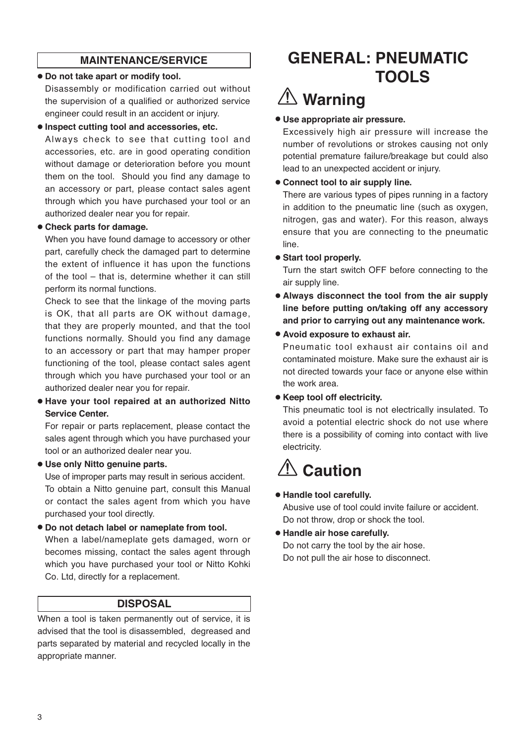# **MAINTENANCE/SERVICE**

#### ● **Do not take apart or modify tool.**

Disassembly or modification carried out without the supervision of a qualified or authorized service engineer could result in an accident or injury.

#### ● **Inspect cutting tool and accessories, etc.**

Always check to see that cutting tool and accessories, etc. are in good operating condition without damage or deterioration before you mount them on the tool. Should you find any damage to an accessory or part, please contact sales agent through which you have purchased your tool or an authorized dealer near you for repair.

#### ● **Check parts for damage.**

When you have found damage to accessory or other part, carefully check the damaged part to determine the extent of influence it has upon the functions of the tool – that is, determine whether it can still perform its normal functions.

Check to see that the linkage of the moving parts is OK, that all parts are OK without damage, that they are properly mounted, and that the tool functions normally. Should you find any damage to an accessory or part that may hamper proper functioning of the tool, please contact sales agent through which you have purchased your tool or an authorized dealer near you for repair.

## ● **Have your tool repaired at an authorized Nitto Service Center.**

For repair or parts replacement, please contact the sales agent through which you have purchased your tool or an authorized dealer near you.

## ● **Use only Nitto genuine parts.**

Use of improper parts may result in serious accident. To obtain a Nitto genuine part, consult this Manual or contact the sales agent from which you have purchased your tool directly.

● **Do not detach label or nameplate from tool.** 

When a label/nameplate gets damaged, worn or becomes missing, contact the sales agent through which you have purchased your tool or Nitto Kohki Co. Ltd, directly for a replacement.

# **DISPOSAL**

When a tool is taken permanently out of service, it is advised that the tool is disassembled, degreased and parts separated by material and recycled locally in the appropriate manner.

# **GENERAL: PNEUMATIC TOOLS**

# **Warning**

## ● **Use appropriate air pressure.**

Excessively high air pressure will increase the number of revolutions or strokes causing not only potential premature failure/breakage but could also lead to an unexpected accident or injury.

#### ● **Connect tool to air supply line.**

There are various types of pipes running in a factory in addition to the pneumatic line (such as oxygen, nitrogen, gas and water). For this reason, always ensure that you are connecting to the pneumatic line.

#### ● **Start tool properly.**

Turn the start switch OFF before connecting to the air supply line.

● **Always disconnect the tool from the air supply line before putting on/taking off any accessory and prior to carrying out any maintenance work.**

## ● **Avoid exposure to exhaust air.**

Pneumatic tool exhaust air contains oil and contaminated moisture. Make sure the exhaust air is not directed towards your face or anyone else within the work area.

● **Keep tool off electricity.**

This pneumatic tool is not electrically insulated. To avoid a potential electric shock do not use where there is a possibility of coming into contact with live electricity.

# $\hat{\mathbb{A}}$  Caution

## ● **Handle tool carefully.**

Abusive use of tool could invite failure or accident. Do not throw, drop or shock the tool.

# ● **Handle air hose carefully.**

Do not carry the tool by the air hose. Do not pull the air hose to disconnect.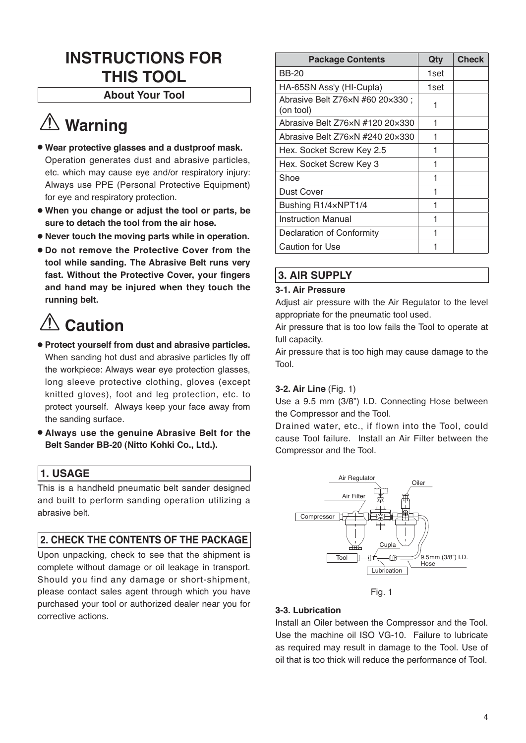# **INSTRUCTIONS FOR THIS TOOL**

## **About Your Tool**

# **Warning**

- ● **Wear protective glasses and a dustproof mask.**  Operation generates dust and abrasive particles, etc. which may cause eye and/or respiratory injury: Always use PPE (Personal Protective Equipment) for eye and respiratory protection.
- ● **When you change or adjust the tool or parts, be sure to detach the tool from the air hose.**
- ● **Never touch the moving parts while in operation.**
- ● **Do not remove the Protective Cover from the tool while sanding. The Abrasive Belt runs very fast. Without the Protective Cover, your fingers and hand may be injured when they touch the running belt.**

# **Caution**

- ● **Protect yourself from dust and abrasive particles.** When sanding hot dust and abrasive particles fly off the workpiece: Always wear eye protection glasses, long sleeve protective clothing, gloves (except knitted gloves), foot and leg protection, etc. to protect yourself. Always keep your face away from the sanding surface.
- ● **Always use the genuine Abrasive Belt for the Belt Sander BB-20 (Nitto Kohki Co., Ltd.).**

# **1. USAGE**

This is a handheld pneumatic belt sander designed and built to perform sanding operation utilizing a abrasive belt.

# **2. CHECK THE CONTENTS OF THE PACKAGE**

Upon unpacking, check to see that the shipment is complete without damage or oil leakage in transport. Should you find any damage or short-shipment, please contact sales agent through which you have purchased your tool or authorized dealer near you for corrective actions.

| <b>Package Contents</b>                      | Qty  | <b>Check</b> |
|----------------------------------------------|------|--------------|
| <b>BB-20</b>                                 | 1set |              |
| HA-65SN Ass'y (HI-Cupla)                     | 1set |              |
| Abrasive Belt Z76×N #60 20×330;<br>(on tool) | 1    |              |
| Abrasive Belt Z76xN #120 20x330              | 1    |              |
| Abrasive Belt Z76xN #240 20x330              | 1    |              |
| Hex. Socket Screw Key 2.5                    | 1    |              |
| Hex. Socket Screw Key 3                      | 1    |              |
| Shoe                                         | 1    |              |
| <b>Dust Cover</b>                            | 1    |              |
| Bushing R1/4xNPT1/4                          | 1    |              |
| Instruction Manual                           | 1    |              |
| Declaration of Conformity                    | 1    |              |
| Caution for Use                              |      |              |

# **3. AIR SUPPLY**

#### **3-1. Air Pressure**

Adjust air pressure with the Air Regulator to the level appropriate for the pneumatic tool used.

Air pressure that is too low fails the Tool to operate at full capacity.

Air pressure that is too high may cause damage to the Tool.

## **3-2. Air Line** (Fig. 1)

Use a 9.5 mm (3/8") I.D. Connecting Hose between the Compressor and the Tool.

Drained water, etc., if flown into the Tool, could cause Tool failure. Install an Air Filter between the Compressor and the Tool.



Fig. 1

## **3-3. Lubrication**

Install an Oiler between the Compressor and the Tool. Use the machine oil ISO VG-10. Failure to lubricate as required may result in damage to the Tool. Use of oil that is too thick will reduce the performance of Tool.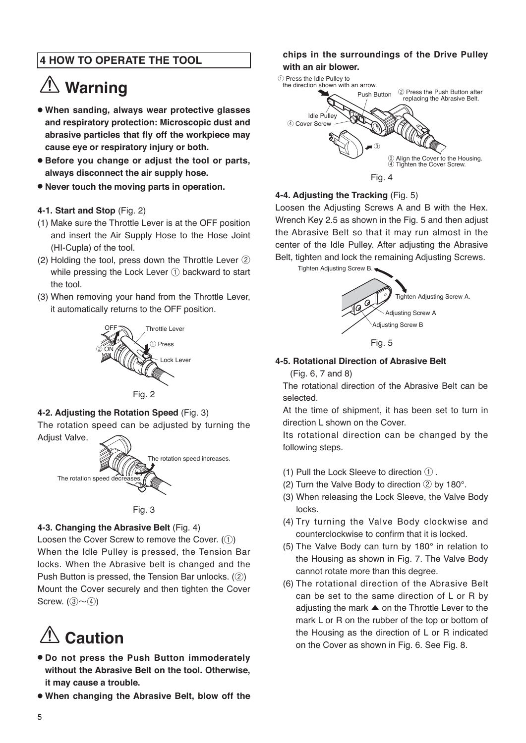# **4 HOW TO OPERATE THE TOOL**

# **Warning**

- **When sanding, always wear protective glasses and respiratory protection: Microscopic dust and abrasive particles that fly off the workpiece may cause eye or respiratory injury or both.**
- **Before you change or adjust the tool or parts, always disconnect the air supply hose.**
- **Never touch the moving parts in operation.**

#### **4-1. Start and Stop** (Fig. 2)

- (1) Make sure the Throttle Lever is at the OFF position and insert the Air Supply Hose to the Hose Joint (HI-Cupla) of the tool.
- (2) Holding the tool, press down the Throttle Lever ② while pressing the Lock Lever ① backward to start the tool.
- (3) When removing your hand from the Throttle Lever, it automatically returns to the OFF position.





## **4-2. Adjusting the Rotation Speed** (Fig. 3)

The rotation speed can be adjusted by turning the Adjust Valve.





## **4-3. Changing the Abrasive Belt** (Fig. 4)

Loosen the Cover Screw to remove the Cover. (①) When the Idle Pulley is pressed, the Tension Bar locks. When the Abrasive belt is changed and the Push Button is pressed, the Tension Bar unlocks. (②) Mount the Cover securely and then tighten the Cover Screw.  $(3)$   $\sim$   $(4)$ 

# **Caution**

- ● **Do not press the Push Button immoderately without the Abrasive Belt on the tool. Otherwise, it may cause a trouble.**
- ● **When changing the Abrasive Belt, blow off the**

## **chips in the surroundings of the Drive Pulley with an air blower.**



#### **4-4. Adjusting the Tracking** (Fig. 5)

Loosen the Adjusting Screws A and B with the Hex. Wrench Key 2.5 as shown in the Fig. 5 and then adjust the Abrasive Belt so that it may run almost in the center of the Idle Pulley. After adjusting the Abrasive Belt, tighten and lock the remaining Adjusting Screws.

Tighten Adjusting Screw B.



#### **4-5. Rotational Direction of Abrasive Belt**

(Fig. 6, 7 and 8)

The rotational direction of the Abrasive Belt can be selected.

At the time of shipment, it has been set to turn in direction L shown on the Cover.

Its rotational direction can be changed by the following steps.

- (1) Pull the Lock Sleeve to direction ① .
- (2) Turn the Valve Body to direction ② by 180°.
- (3) When releasing the Lock Sleeve, the Valve Body locks.
- (4) Try turning the Valve Body clockwise and counterclockwise to confirm that it is locked.
- (5) The Valve Body can turn by 180° in relation to the Housing as shown in Fig. 7. The Valve Body cannot rotate more than this degree.
- (6) The rotational direction of the Abrasive Belt can be set to the same direction of L or R by adjusting the mark ▲ on the Throttle Lever to the mark L or R on the rubber of the top or bottom of the Housing as the direction of L or R indicated on the Cover as shown in Fig. 6. See Fig. 8.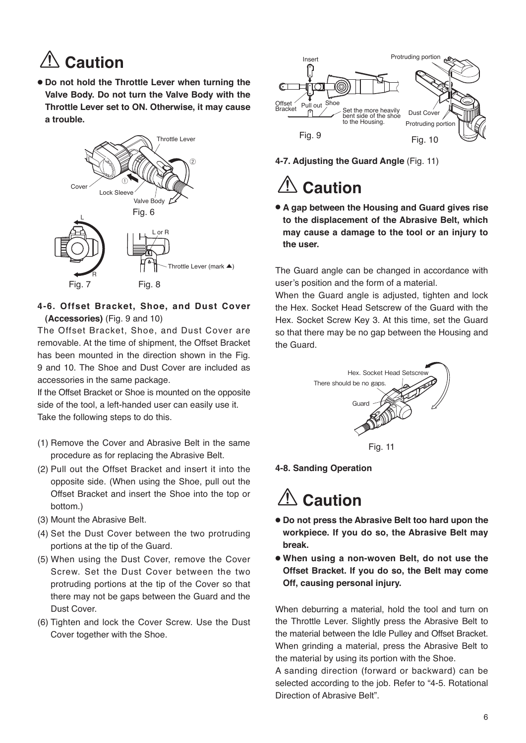# **Caution**

● **Do not hold the Throttle Lever when turning the Valve Body. Do not turn the Valve Body with the Throttle Lever set to ON. Otherwise, it may cause a trouble.**



## **4-6. Offset Bracket, Shoe, and Dust Cover (Accessories)** (Fig. 9 and 10)

The Offset Bracket, Shoe, and Dust Cover are removable. At the time of shipment, the Offset Bracket has been mounted in the direction shown in the Fig. 9 and 10. The Shoe and Dust Cover are included as accessories in the same package.

If the Offset Bracket or Shoe is mounted on the opposite side of the tool, a left-handed user can easily use it. Take the following steps to do this.

- (1) Remove the Cover and Abrasive Belt in the same procedure as for replacing the Abrasive Belt.
- (2) Pull out the Offset Bracket and insert it into the opposite side. (When using the Shoe, pull out the Offset Bracket and insert the Shoe into the top or bottom.)
- (3) Mount the Abrasive Belt.
- (4) Set the Dust Cover between the two protruding portions at the tip of the Guard.
- (5) When using the Dust Cover, remove the Cover Screw. Set the Dust Cover between the two protruding portions at the tip of the Cover so that there may not be gaps between the Guard and the Dust Cover.
- (6) Tighten and lock the Cover Screw. Use the Dust Cover together with the Shoe.



**4-7. Adjusting the Guard Angle** (Fig. 11)

# **Caution**

● **A gap between the Housing and Guard gives rise to the displacement of the Abrasive Belt, which may cause a damage to the tool or an injury to the user.**

The Guard angle can be changed in accordance with user's position and the form of a material.

When the Guard angle is adjusted, tighten and lock the Hex. Socket Head Setscrew of the Guard with the Hex. Socket Screw Key 3. At this time, set the Guard so that there may be no gap between the Housing and the Guard.



## **4-8. Sanding Operation**

# **Caution**

- ● **Do not press the Abrasive Belt too hard upon the workpiece. If you do so, the Abrasive Belt may break.**
- ● **When using a non-woven Belt, do not use the Offset Bracket. If you do so, the Belt may come Off, causing personal injury.**

When deburring a material, hold the tool and turn on the Throttle Lever. Slightly press the Abrasive Belt to the material between the Idle Pulley and Offset Bracket. When grinding a material, press the Abrasive Belt to the material by using its portion with the Shoe.

A sanding direction (forward or backward) can be selected according to the job. Refer to "4-5. Rotational Direction of Abrasive Belt".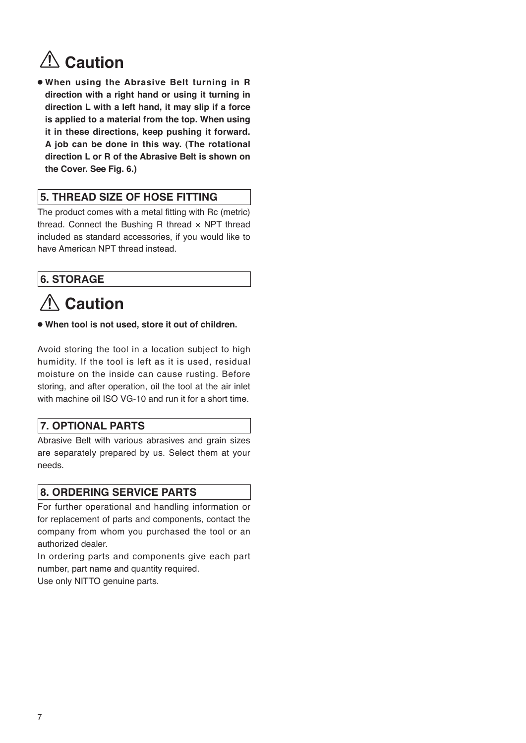# **<u></u> ∴ Caution**

● **When using the Abrasive Belt turning in R direction with a right hand or using it turning in direction L with a left hand, it may slip if a force is applied to a material from the top. When using it in these directions, keep pushing it forward. A job can be done in this way. (The rotational direction L or R of the Abrasive Belt is shown on the Cover. See Fig. 6.)** 

# **5. THREAD SIZE OF HOSE FITTING**

The product comes with a metal fitting with Rc (metric) thread. Connect the Bushing R thread  $\times$  NPT thread included as standard accessories, if you would like to have American NPT thread instead.

# **6. STORAGE**

# **Caution**

● **When tool is not used, store it out of children.**

Avoid storing the tool in a location subject to high humidity. If the tool is left as it is used, residual moisture on the inside can cause rusting. Before storing, and after operation, oil the tool at the air inlet with machine oil ISO VG-10 and run it for a short time.

# **7. OPTIONAL PARTS**

Abrasive Belt with various abrasives and grain sizes are separately prepared by us. Select them at your needs.

# **8. ORDERING SERVICE PARTS**

For further operational and handling information or for replacement of parts and components, contact the company from whom you purchased the tool or an authorized dealer.

In ordering parts and components give each part number, part name and quantity required. Use only NITTO genuine parts.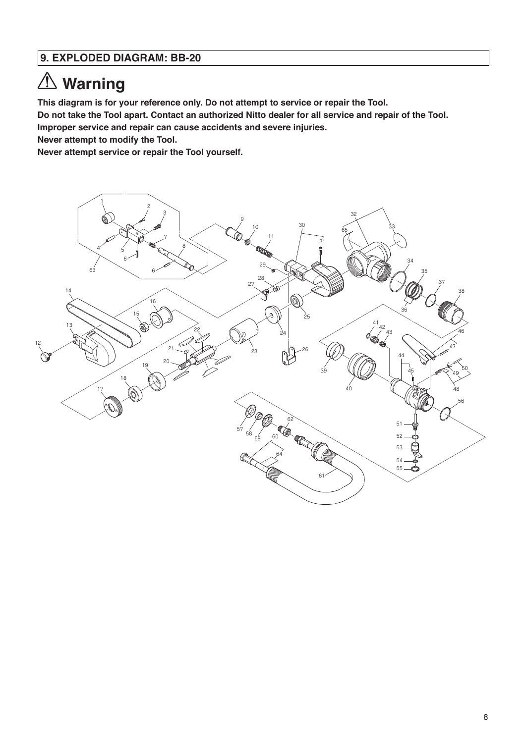# **9. EXPLODED DIAGRAM: BB-20**

# **Warning**

**This diagram is for your reference only. Do not attempt to service or repair the Tool.** 

**Do not take the Tool apart. Contact an authorized Nitto dealer for all service and repair of the Tool.** 

**Improper service and repair can cause accidents and severe injuries.**

**Never attempt to modify the Tool.**

**Never attempt service or repair the Tool yourself.**

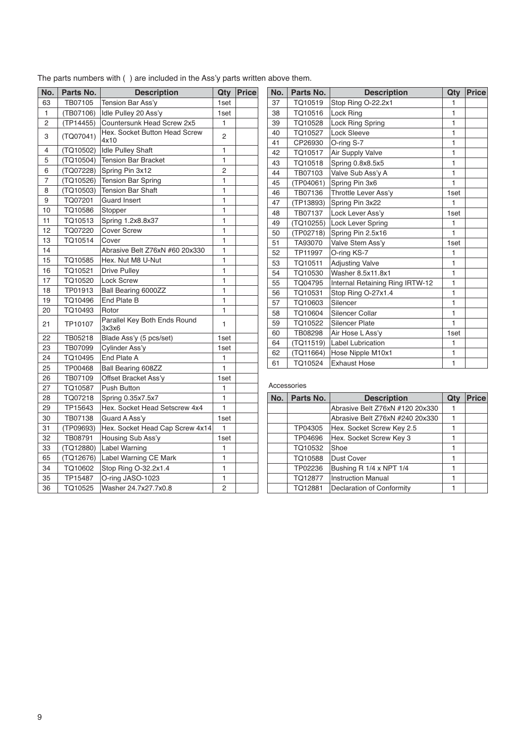| No. | Parts No. | <b>Description</b>                    | Qty            | Price |
|-----|-----------|---------------------------------------|----------------|-------|
| 63  | TB07105   | Tension Bar Ass'y                     | 1set           |       |
| 1   | (TB07106) | Idle Pulley 20 Ass'y                  | 1set           |       |
| 2   | (TP14455) | Countersunk Head Screw 2x5            | 1              |       |
| 3   | (TQ07041) | Hex. Socket Button Head Screw<br>4x10 | 2              |       |
| 4   | (TQ10502) | <b>Idle Pulley Shaft</b>              | 1              |       |
| 5   | (TQ10504) | <b>Tension Bar Bracket</b>            | 1              |       |
| 6   | (TQ07228) | Spring Pin 3x12                       | $\overline{c}$ |       |
| 7   | (TQ10526) | <b>Tension Bar Spring</b>             | 1              |       |
| 8   | (TQ10503) | <b>Tension Bar Shaft</b>              | 1              |       |
| 9   | TQ07201   | <b>Guard Insert</b>                   | 1              |       |
| 10  | TQ10586   | Stopper                               | 1              |       |
| 11  | TQ10513   | Spring 1.2x8.8x37                     | 1              |       |
| 12  | TQ07220   | <b>Cover Screw</b>                    | $\overline{1}$ |       |
| 13  | TQ10514   | Cover                                 | 1              |       |
| 14  |           | Abrasive Belt Z76xN #60 20x330        | 1              |       |
| 15  | TQ10585   | Hex. Nut M8 U-Nut                     | 1              |       |
| 16  | TQ10521   | <b>Drive Pulley</b>                   | 1              |       |
| 17  | TQ10520   | <b>Lock Screw</b>                     | 1              |       |
| 18  | TP01913   | Ball Bearing 6000ZZ                   | 1              |       |
| 19  | TQ10496   | End Plate B                           | 1              |       |
| 20  | TQ10493   | Rotor                                 | 1              |       |
| 21  | TP10107   | Parallel Key Both Ends Round<br>ЗхЗх6 | 1              |       |
| 22  | TB05218   | Blade Ass'y (5 pcs/set)               | 1set           |       |
| 23  | TB07099   | Cylinder Ass'y                        | 1set           |       |
| 24  | TQ10495   | End Plate A                           | 1              |       |
| 25  | TP00468   | Ball Bearing 608ZZ                    | 1              |       |
| 26  | TB07109   | Offset Bracket Ass'y                  | 1set           |       |
| 27  | TQ10587   | Push Button                           | 1              |       |
| 28  | TQ07218   | Spring 0.35x7.5x7                     | 1              |       |
| 29  | TP15643   | Hex. Socket Head Setscrew 4x4         | 1              |       |
| 30  | TB07138   | Guard A Ass'y                         | 1set           |       |
| 31  | (TP09693) | Hex. Socket Head Cap Screw 4x14       | 1              |       |
| 32  | TB08791   | Housing Sub Ass'y                     | 1set           |       |
| 33  | (TQ12880) | Label Warning                         | 1              |       |
| 65  | (TQ12676) | Label Warning CE Mark                 | 1              |       |
| 34  | TQ10602   | Stop Ring O-32.2x1.4                  | 1              |       |
| 35  | TP15487   | O-ring JASO-1023                      | 1              |       |
| 36  | TQ10525   | Washer 24.7x27.7x0.8                  | 2              |       |

The parts numbers with ( ) are included in the Ass'y parts written above them.

| No. | Parts No. | <b>Description</b>              | Qty            | <b>Price</b> |
|-----|-----------|---------------------------------|----------------|--------------|
| 37  | TQ10519   | Stop Ring O-22.2x1              | 1              |              |
| 38  | TQ10516   | Lock Ring                       | 1              |              |
| 39  | TQ10528   | Lock Ring Spring                | 1              |              |
| 40  | TQ10527   | Lock Sleeve                     | $\overline{1}$ |              |
| 41  | CP26930   | O-ring S-7                      | 1              |              |
| 42  | TQ10517   | Air Supply Valve                | 1              |              |
| 43  | TQ10518   | Spring 0.8x8.5x5                | $\overline{1}$ |              |
| 44  | TB07103   | Valve Sub Ass'y A               | $\mathbf{1}$   |              |
| 45  | (TP04061) | Spring Pin 3x6                  | 1              |              |
| 46  | TB07136   | Throttle Lever Ass'y            | 1set           |              |
| 47  | (TP13893) | Spring Pin 3x22                 | 1              |              |
| 48  | TB07137   | Lock Lever Ass'v                | 1set           |              |
| 49  | (TQ10255) | Lock Lever Spring               | 1              |              |
| 50  | (TP02718) | Spring Pin 2.5x16               | 1              |              |
| 51  | TA93070   | Valve Stem Ass'v                | 1set           |              |
| 52  | TP11997   | O-ring KS-7                     | 1              |              |
| 53  | TQ10511   | <b>Adjusting Valve</b>          | $\mathbf{1}$   |              |
| 54  | TQ10530   | Washer 8.5x11.8x1               | 1              |              |
| 55  | TQ04795   | Internal Retaining Ring IRTW-12 | 1              |              |
| 56  | TQ10531   | Stop Ring O-27x1.4              | $\mathbf{1}$   |              |
| 57  | TQ10603   | Silencer                        | 1              |              |
| 58  | TQ10604   | Silencer Collar                 | 1              |              |
| 59  | TQ10522   | <b>Silencer Plate</b>           | $\overline{1}$ |              |
| 60  | TB08298   | Air Hose L Ass'y                | 1set           |              |
| 64  | (TQ11519) | <b>Label Lubrication</b>        | 1              |              |
| 62  | (TQ11664) | Hose Nipple M10x1               | 1              |              |
| 61  | TQ10524   | <b>Exhaust Hose</b>             | 1              |              |

#### Accessories

| No. | Parts No. | <b>Description</b>              | Qty | <b>Price</b> |
|-----|-----------|---------------------------------|-----|--------------|
|     |           | Abrasive Belt Z76xN #120 20x330 |     |              |
|     |           | Abrasive Belt Z76xN #240 20x330 |     |              |
|     | TP04305   | Hex. Socket Screw Key 2.5       |     |              |
|     | TP04696   | Hex. Socket Screw Key 3         |     |              |
|     | TQ10532   | Shoe                            |     |              |
|     | TQ10588   | <b>Dust Cover</b>               |     |              |
|     | TP02236   | Bushing R 1/4 x NPT 1/4         |     |              |
|     | TQ12877   | <b>Instruction Manual</b>       |     |              |
|     | TQ12881   | Declaration of Conformity       |     |              |